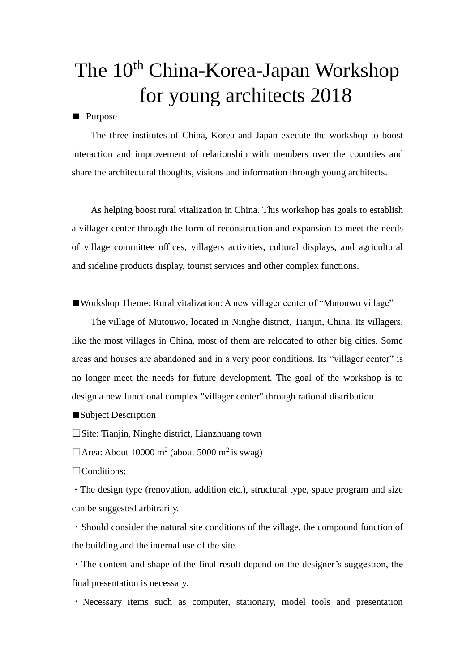## The 10<sup>th</sup> China-Korea-Japan Workshop for young architects 2018

■ Purpose

The three institutes of China, Korea and Japan execute the workshop to boost interaction and improvement of relationship with members over the countries and share the architectural thoughts, visions and information through young architects.

As helping boost rural vitalization in China. This workshop has goals to establish a villager center through the form of reconstruction and expansion to meet the needs of village committee offices, villagers activities, cultural displays, and agricultural and sideline products display, tourist services and other complex functions.

■Workshop Theme: Rural vitalization: A new villager center of "Mutouwo village"

The village of Mutouwo, located in Ninghe district, Tianjin, China. Its villagers, like the most villages in China, most of them are relocated to other big cities. Some areas and houses are abandoned and in a very poor conditions. Its "villager center" is no longer meet the needs for future development. The goal of the workshop is to design a new functional complex "villager center" through rational distribution.

■Subject Description

 $\square$ Site: Tianiin, Ninghe district, Lianzhuang town

 $\Box$  Area: About 10000 m<sup>2</sup> (about 5000 m<sup>2</sup> is swag)

□Conditions:

・The design type (renovation, addition etc.), structural type, space program and size can be suggested arbitrarily.

・Should consider the natural site conditions of the village, the compound function of the building and the internal use of the site.

・The content and shape of the final result depend on the designer's suggestion, the final presentation is necessary.

・Necessary items such as computer, stationary, model tools and presentation